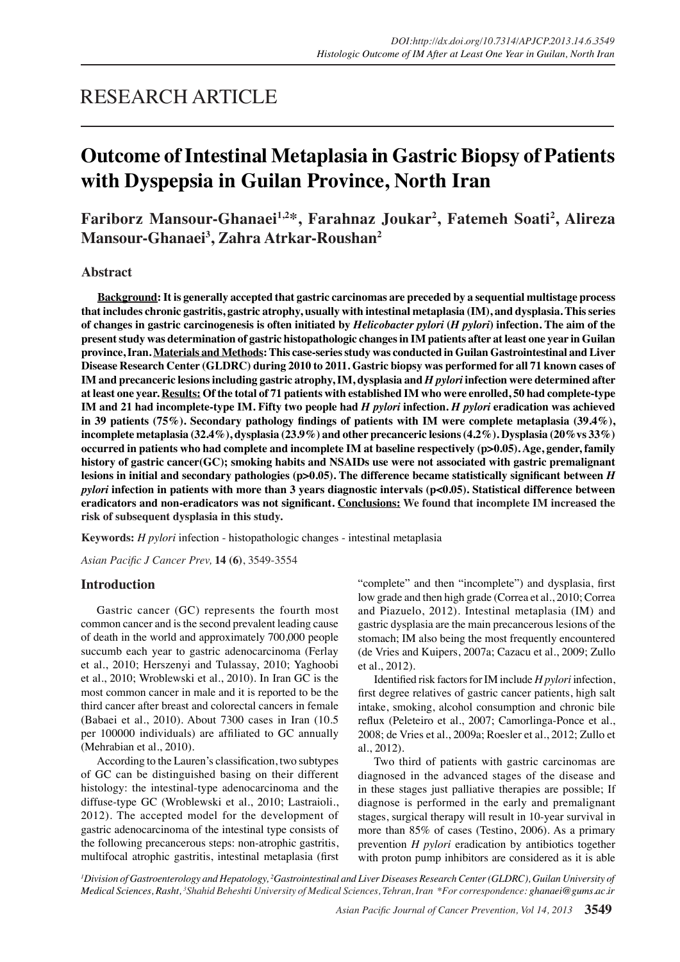## RESEARCH ARTICLE

# **Outcome of Intestinal Metaplasia in Gastric Biopsy of Patients with Dyspepsia in Guilan Province, North Iran**

**Fariborz Mansour-Ghanaei1,2\*, Farahnaz Joukar2 , Fatemeh Soati2 , Alireza Mansour-Ghanaei3 , Zahra Atrkar-Roushan2**

## **Abstract**

**Background: It is generally accepted that gastric carcinomas are preceded by a sequential multistage process that includes chronic gastritis, gastric atrophy, usually with intestinal metaplasia (IM), and dysplasia. This series of changes in gastric carcinogenesis is often initiated by** *Helicobacter pylori* **(***H pylori***) infection. The aim of the present study was determination of gastric histopathologic changes in IM patients after at least one year in Guilan province, Iran. Materials and Methods: This case-series study was conducted in Guilan Gastrointestinal and Liver Disease Research Center (GLDRC) during 2010 to 2011. Gastric biopsy was performed for all 71 known cases of IM and precanceric lesions including gastric atrophy, IM, dysplasia and** *H pylori* **infection were determined after at least one year. Results: Of the total of 71 patients with established IM who were enrolled, 50 had complete-type IM and 21 had incomplete-type IM. Fifty two people had** *H pylori* **infection.** *H pylori* **eradication was achieved in 39 patients (75%). Secondary pathology findings of patients with IM were complete metaplasia (39.4%), incomplete metaplasia (32.4%), dysplasia (23.9%) and other precanceric lesions (4.2%). Dysplasia (20%vs 33%) occurred in patients who had complete and incomplete IM at baseline respectively (p>0.05). Age, gender, family history of gastric cancer(GC); smoking habits and NSAIDs use were not associated with gastric premalignant lesions in initial and secondary pathologies (p>0.05). The difference became statistically significant between** *H pylori* **infection in patients with more than 3 years diagnostic intervals (p<0.05). Statistical difference between eradicators and non-eradicators was not significant. Conclusions: We found that incomplete IM increased the risk of subsequent dysplasia in this study.**

**Keywords:** *H pylori* infection - histopathologic changes - intestinal metaplasia

*Asian Pacific J Cancer Prev,* **14 (6)**, 3549-3554

## **Introduction**

Gastric cancer (GC) represents the fourth most common cancer and is the second prevalent leading cause of death in the world and approximately 700,000 people succumb each year to gastric adenocarcinoma (Ferlay et al., 2010; Herszenyi and Tulassay, 2010; Yaghoobi et al., 2010; Wroblewski et al., 2010). In Iran GC is the most common cancer in male and it is reported to be the third cancer after breast and colorectal cancers in female (Babaei et al., 2010). About 7300 cases in Iran (10.5 per 100000 individuals) are affiliated to GC annually (Mehrabian et al., 2010).

According to the Lauren's classification, two subtypes of GC can be distinguished basing on their different histology: the intestinal-type adenocarcinoma and the diffuse-type GC (Wroblewski et al., 2010; Lastraioli., 2012). The accepted model for the development of gastric adenocarcinoma of the intestinal type consists of the following precancerous steps: non-atrophic gastritis, multifocal atrophic gastritis, intestinal metaplasia (first "complete" and then "incomplete") and dysplasia, first low grade and then high grade (Correa et al., 2010; Correa and Piazuelo, 2012). Intestinal metaplasia (IM) and gastric dysplasia are the main precancerous lesions of the stomach; IM also being the most frequently encountered (de Vries and Kuipers, 2007a; Cazacu et al., 2009; Zullo et al., 2012).

Identified risk factors for IM include *H pylori* infection, first degree relatives of gastric cancer patients, high salt intake, smoking, alcohol consumption and chronic bile reflux (Peleteiro et al., 2007; Camorlinga-Ponce et al., 2008; de Vries et al., 2009a; Roesler et al., 2012; Zullo et al., 2012).

Two third of patients with gastric carcinomas are diagnosed in the advanced stages of the disease and in these stages just palliative therapies are possible; If diagnose is performed in the early and premalignant stages, surgical therapy will result in 10-year survival in more than 85% of cases (Testino, 2006). As a primary prevention *H pylori* eradication by antibiotics together with proton pump inhibitors are considered as it is able

<sup>1</sup> Division of Gastroenterology and Hepatology, <sup>2</sup> Gastrointestinal and Liver Diseases Research Center (GLDRC), Guilan University of *Medical Sciences, Rasht, <sup>3</sup> Shahid Beheshti University of Medical Sciences, Tehran, Iran \*For correspondence: ghanaei@gums.ac.ir*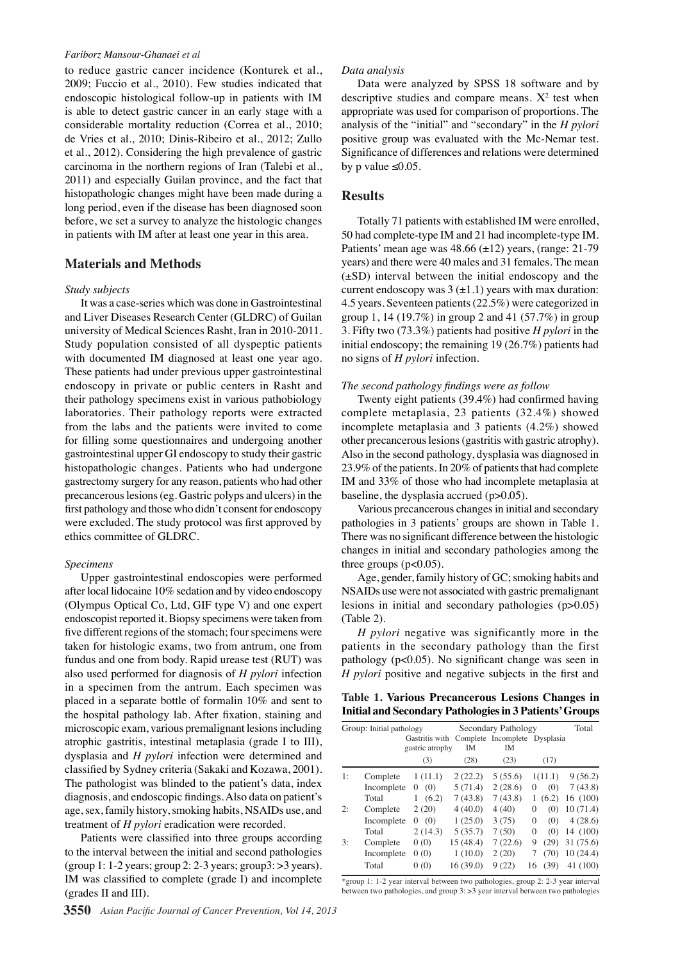#### *Fariborz Mansour-Ghanaei et al*

to reduce gastric cancer incidence (Konturek et al., 2009; Fuccio et al., 2010). Few studies indicated that endoscopic histological follow-up in patients with IM is able to detect gastric cancer in an early stage with a considerable mortality reduction (Correa et al., 2010; de Vries et al., 2010; Dinis-Ribeiro et al., 2012; Zullo et al., 2012). Considering the high prevalence of gastric carcinoma in the northern regions of Iran (Talebi et al., 2011) and especially Guilan province, and the fact that histopathologic changes might have been made during a long period, even if the disease has been diagnosed soon before, we set a survey to analyze the histologic changes in patients with IM after at least one year in this area.

## **Materials and Methods**

#### *Study subjects*

It was a case-series which was done in Gastrointestinal and Liver Diseases Research Center (GLDRC) of Guilan university of Medical Sciences Rasht, Iran in 2010-2011. Study population consisted of all dyspeptic patients with documented IM diagnosed at least one year ago. These patients had under previous upper gastrointestinal endoscopy in private or public centers in Rasht and their pathology specimens exist in various pathobiology laboratories. Their pathology reports were extracted from the labs and the patients were invited to come for filling some questionnaires and undergoing another gastrointestinal upper GI endoscopy to study their gastric histopathologic changes. Patients who had undergone gastrectomy surgery for any reason, patients who had other precancerous lesions (eg. Gastric polyps and ulcers) in the first pathology and those who didn't consent for endoscopy were excluded. The study protocol was first approved by ethics committee of GLDRC.

#### *Specimens*

Upper gastrointestinal endoscopies were performed after local lidocaine 10% sedation and by video endoscopy (Olympus Optical Co, Ltd, GIF type V) and one expert endoscopist reported it. Biopsy specimens were taken from five different regions of the stomach; four specimens were taken for histologic exams, two from antrum, one from fundus and one from body. Rapid urease test (RUT) was also used performed for diagnosis of *H pylori* infection in a specimen from the antrum. Each specimen was placed in a separate bottle of formalin 10% and sent to the hospital pathology lab. After fixation, staining and microscopic exam, various premalignant lesions including atrophic gastritis, intestinal metaplasia (grade I to III), dysplasia and *H pylori* infection were determined and classified by Sydney criteria (Sakaki and Kozawa, 2001). The pathologist was blinded to the patient's data, index diagnosis, and endoscopic findings. Also data on patient's age, sex, family history, smoking habits, NSAIDs use, and treatment of *H pylori* eradication were recorded.

Patients were classified into three groups according to the interval between the initial and second pathologies (group 1: 1-2 years; group 2:  $2-3$  years; group $3:$  > 3 years). IM was classified to complete (grade I) and incomplete (grades II and III).

#### *Data analysis*

Data were analyzed by SPSS 18 software and by descriptive studies and compare means.  $X^2$  test when appropriate was used for comparison of proportions. The analysis of the "initial" and "secondary" in the *H pylori* positive group was evaluated with the Mc-Nemar test. Significance of differences and relations were determined by p value  $\leq 0.05$ .

### **Results**

Totally 71 patients with established IM were enrolled, 50 had complete-type IM and 21 had incomplete-type IM. Patients' mean age was  $48.66 \ (\pm 12)$  years, (range: 21-79 years) and there were 40 males and 31 females. The mean (±SD) interval between the initial endoscopy and the current endoscopy was  $3 \left( \pm 1.1 \right)$  years with max duration: 4.5 years. Seventeen patients (22.5%) were categorized in group 1, 14 (19.7%) in group 2 and 41 (57.7%) in group 3. Fifty two (73.3%) patients had positive *H pylori* in the initial endoscopy; the remaining 19 (26.7%) patients had no signs of *H pylori* infection.

#### *The second pathology findings were as follow*

Twenty eight patients (39.4%) had confirmed having complete metaplasia, 23 patients (32.4%) showed incomplete metaplasia and 3 patients (4.2%) showed other precancerous lesions (gastritis with gastric atrophy). Also in the second pathology, dysplasia was diagnosed in 23.9% of the patients. In 20% of patients that had complete IM and 33% of those who had incomplete metaplasia at baseline, the dysplasia accrued (p>0.05).

Various precancerous changes in initial and secondary pathologies in 3 patients' groups are shown in Table 1. There was no significant difference between the histologic changes in initial and secondary pathologies among the three groups  $(p<0.05)$ .

Age, gender, family history of GC; smoking habits and NSAIDs use were not associated with gastric premalignant lesions in initial and secondary pathologies (p>0.05) (Table 2).

*H pylori* negative was significantly more in the patients in the secondary pathology than the first pathology (p<0.05). No significant change was seen in *H pylori* positive and negative subjects in the first and

|  | Table 1. Various Precancerous Lesions Changes in        |  |  |
|--|---------------------------------------------------------|--|--|
|  | Initial and Secondary Pathologies in 3 Patients' Groups |  |  |

|    | Group: Initial pathology |                 |                                                           | Secondary Pathology |                 | Total        |
|----|--------------------------|-----------------|-----------------------------------------------------------|---------------------|-----------------|--------------|
|    |                          | gastric atrophy | Gastritis with Complete Incomplete Dysplasia<br><b>IM</b> | <b>IM</b>           |                 |              |
|    |                          | (3)             | (28)                                                      | (23)                | (17)            |              |
| 1: | Complete                 | 1(11.1)         | 2(22.2)                                                   | 5(55.6)             | 1(11.1)         | 9(56.2)      |
|    | Incomplete               | (0)<br>$\Omega$ | 5(71.4)                                                   | 2(28.6)             | (0)<br>$\Omega$ | 7(43.8)      |
|    | Total                    | (6.2)<br>1      | 7(43.8)                                                   | 7(43.8)             | (6.2)<br>L      | 16(100)      |
| 2: | Complete                 | 2(20)           | 4(40.0)                                                   | 4(40)               | (0)<br>$\Omega$ | 10(71.4)     |
|    | Incomplete               | 0(0)            | 1(25.0)                                                   | 3(75)               | (0)<br>$\Omega$ | 4(28.6)      |
|    | Total                    | 2(14.3)         | 5(35.7)                                                   | 7(50)               | (0)<br>$\Omega$ | 14 (100)     |
| 3: | Complete                 | 0(0)            | 15 (48.4)                                                 | 7(22.6)             | (29)<br>9       | 31(75.6)00.0 |
|    | Incomplete               | 0(0)            | 1(10.0)                                                   | 2(20)               | 7<br>(70)       | 10(24.4)     |
|    | Total                    | 0(0)            | 16(39.0)                                                  | 9(22)               | (39)<br>16      | 41 (100)     |

between two pathologies, and group 3: >3 year interval between two pathologies75.0 \*group 1: 1-2 year interval between two pathologies, group 2: 2-3 year interval

**46.8 56.3**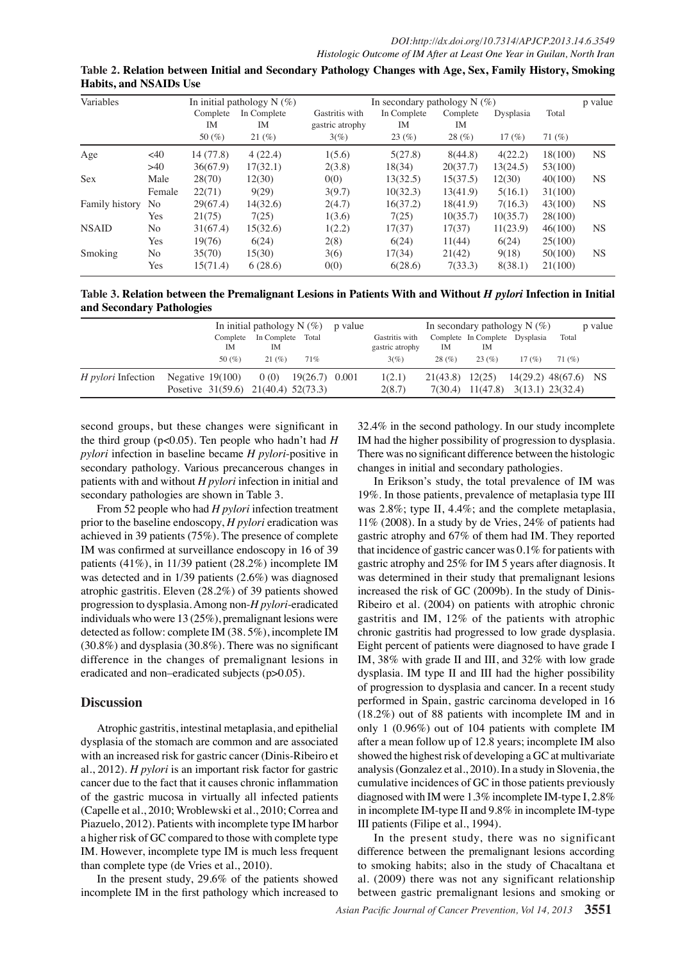| Table 2. Relation between Initial and Secondary Pathology Changes with Age, Sex, Family History, Smoking |  |  |
|----------------------------------------------------------------------------------------------------------|--|--|
| <b>Habits, and NSAIDs Use</b>                                                                            |  |  |

| Variables      |        |            | In initial pathology $N(\%)$ |                 | In secondary pathology $N(\%)$ |          |           |                     | p value   |
|----------------|--------|------------|------------------------------|-----------------|--------------------------------|----------|-----------|---------------------|-----------|
|                |        | Complete   | In Complete                  | Gastritis with  | In Complete                    | Complete | Dysplasia | Total               |           |
|                |        | <b>IM</b>  | IM                           | gastric atrophy | IM                             | IM       |           |                     |           |
|                |        | 50 $(\% )$ | 21(%)                        | $3(\%)$         | 23(%)                          | 28(%)    | 17(%)     | 71 $(\%)$           |           |
| Age            | <40    | 14(77.8)   | 4(22.4)                      | 1(5.6)          | 5(27.8)                        | 8(44.8)  | 4(22.2)   | 18(100)             | <b>NS</b> |
|                | >40    | 36(67.9)   | 17(32.1)                     | 2(3.8)          | 18(34)                         | 20(37.7) | 13(24.5)  | 53(100)             |           |
| <b>Sex</b>     | Male   | 28(70)     | 12(30)                       | 0(0)            | 13(32.5)                       | 15(37.5) | 12(30)    | 40(100)             | <b>NS</b> |
|                | Female | 22(71)     | 9(29)                        | 3(9.7)          | 10(32.3)                       | 13(41.9) | 5(16.1)   | 31(100)             |           |
| Family history | No     | 29(67.4)   | 14(32.6)                     | 2(4.7)          | 16(37.2)                       | 18(41.9) | 7(16.3)   | 43(100)             | <b>NS</b> |
|                | Yes    | 21(75)     | 7(25)                        | $1$ ( $60.0$    | 7(25)                          | 10(35.7) | 10(35.7)  | 28(100)             |           |
| <b>NSAID</b>   | No     | 31(67.4)   | 15(32.6)                     | 1(2.2)          |                                | 17(37)   | 11(28.9)  | 46(100)             | <b>NS</b> |
|                | Yes    | 19(76)     | 6(24)                        | 2(8)            | $\frac{7(37)}{6(24)}$          | 49(44)   | 206B24)   | 25 <sub>(100)</sub> |           |
| Smoking        | No     | 35(70)     | 15(30)                       | 3(6)            | 17(34)                         | 21(42)   | 9(18)     | 50(100)             | <b>NS</b> |
|                | Yes    | 15(71.4)   | 6(28.6)                      | 0(075.0)        | 6(28.6)                        | 7(33.3)  | 8(38.1)   | 25.0100             |           |

**46.8 56.3 Table 3. Relation between the Premalignant Lesions in Patients With and Without** *H pylori* **Infection in Initial and Secondary Pathologies**

| anu Secondar y Fathologies |                                           |                                  |                | 50.0    |                                   |              | 54.2                                          | 24.2             |                              |      |  |
|----------------------------|-------------------------------------------|----------------------------------|----------------|---------|-----------------------------------|--------------|-----------------------------------------------|------------------|------------------------------|------|--|
|                            |                                           | In initial pathology $N(\%)$     |                | p value |                                   |              | In secondary pathology N $(\%)$               |                  | p value                      | 30.0 |  |
|                            |                                           | Complete In Complete Total<br>IΜ |                |         | Gastritis with<br>gastric atrophy | $\mathbf{M}$ | Complete In Complete Dysplasia                |                  | Total                        |      |  |
|                            | 50 $(\% )$                                | 21(%)                            | 71%            | 25.0    | 3(%)                              | 28(%)        | 23(%)                                         | 17(%)            | 1(%)                         |      |  |
| <i>H pylori</i> Infection  | Negative $19(100)$                        | 0(0)                             | 19(26.7) 0.001 |         | $1(231)$ .3                       |              | $21(33.8)$ $12(25)$                           |                  | $14(29.3) \cdot 38(67.6)$ NS | 30.0 |  |
|                            | Posetive $31(59.6)$ $21(40.4)$ $52(73.3)$ |                                  |                |         | 2(8.7)                            |              | $7(30.4)$ 11(4 <sup>2</sup> 3. <sup>7</sup> ) | 3(18.1) 23(32.4) |                              |      |  |
|                            |                                           |                                  |                |         |                                   |              |                                               |                  |                              |      |  |

second groups, but these changes were significant in *pylori* infection in baseline became *H pylori*-positive in secondary pathology. Various precancerous changes in patients with and without *H pylori* infection in initial and 75.0 secondary pathologies are shown in Table 3.

From 52 people who had *H pylori* infection treatment prior to the baseline endoscopy, *H pylori* eradication was achieved in 39 patients (75%). The presence of complete 50.0 IM was confirmed at surveillance endoscopy in 16 of 39 patients (41%), in 11/39 patient (28.2%) incomplete IM was detected and in 1/39 patients (2.6%) was diagnosed atrophic gastritis. Eleven  $(28.2%)$  of 39 patients showed  $25.0$ progression to dysplasia. Among non-*H pylori*-eradicated individuals who were 13 (25%), premalignant lesions were detected as follow: complete IM (38. 5%), incomplete IM (30.8%) and dysplasia (30.8%). There was no significant difference in the changes of premalignant lesions in eradicated and non–eradicated subjects (p>0.05).

## **Discussion**

Atrophic gastritis, intestinal metaplasia, and epithelial dysplasia of the stomach are common and are associated with an increased risk for gastric cancer (Dinis-Ribeiro et al., 2012). *H pylori* is an important risk factor for gastric cancer due to the fact that it causes chronic inflammation of the gastric mucosa in virtually all infected patients (Capelle et al., 2010; Wroblewski et al., 2010; Correa and Piazuelo, 2012). Patients with incomplete type IM harbor a higher risk of GC compared to those with complete type IM. However, incomplete type IM is much less frequent than complete type (de Vries et al., 2010).

In the present study, 29.6% of the patients showed incomplete IM in the first pathology which increased to

the third group (p<0.05). Ten people who hadn't had *H*<sub>00.0</sub>M had the higher possibility o<u>f pr</u>ogression to dysplasia.  $32.4\%$  in the second patholog  $\frac{9}{2}$  In our study incomplete There  $\frac{a}{2}$  sign<sup>- $\frac{a}{2}$ </sup> difference between the histologic Remission

| 32.4% in the second pathology In our study incomplete             |      |                                          |      |        |      |                 |                        |               | Nore |  |
|-------------------------------------------------------------------|------|------------------------------------------|------|--------|------|-----------------|------------------------|---------------|------|--|
| $\beta$ M had the higher possibility or progression to dysplasia. |      |                                          |      |        |      |                 |                        |               |      |  |
| There $\forall$                                                   | 6.3  | 51gr[                                    | 10.1 | ∣diff  |      |                 | between the histologic |               |      |  |
| change                                                            |      | tial                                     |      | lcon   | 20.3 | atho            |                        |               |      |  |
| In                                                                |      | ı's                                      |      | the    |      | brev            |                        | of IM was     |      |  |
| $0_{19\%}$ . I                                                    |      | pat                                      |      | brev   | of   | 25.0            | asia type III          | 30.0          |      |  |
| was 2.                                                            |      | рe                                       | 46.8 | Yo; a  |      | CO <sub>1</sub> |                        | metaplasia,   |      |  |
| $11\% (2)$                                                        | 56.3 | n a                                      |      | þy (   |      | s, 2            |                        | patients had  |      |  |
| <b>Quentic</b>                                                    |      | y aj                                     |      | of     | 54.2 | hadl            | 31.3                   | ey reported   |      |  |
| that ind                                                          |      | of s                                     |      | cand   |      | 0.1             |                        | batients with | 30.0 |  |
| gastric                                                           |      | y ar                                     |      | for    |      | 'earl           |                        | diagnosis. It |      |  |
| $\boldsymbol{0}^{\text{was def}}$                                 |      | led                                      |      | stu    |      | t pri           |                        | nant lesions  |      |  |
| increas                                                           |      | risl                                     | 38.0 | (2     |      | In              |                        | dy of Dinis-  |      |  |
| Ribeiro                                                           | 31.3 | $(2\mathsf{I}% )(\mathsf{I},\mathsf{I})$ |      | p<br>1 | 23.7 | wit             | 31.3                   | hic chronic   | 30.0 |  |
| gastrit                                                           |      | IM                                       |      | of     |      | atie            |                        | th atrophic   |      |  |

Chronic gastritis had progressed to low grade dysplasia. Eight percent of patients were gliagnosed fo have grade I IM, 38% with grade II and III and 32% with low grade dysplasia. $\overline{3}$ IM type  $\overline{3}$  and III  $\overline{3}$  ad the higher possibility of progression to dysplasia and cancer. In a recent study performed in Spain Sgastric carcinoma developed in 16  $(18.2\%)$  out of 88 patients with incomplete IM and in only 1 ( $0.96\%$ ) out of 104 patients with complete IM after a mean follow  $\ddot{H}$  of 12.8 years; incomplete IM also showed the highest right of developing a GC at multivariate analysis (Gonzalez  $e\bar{e}$ al., 2010). In a study in Slovenia, the cumulative incidences of GC in those patients previously diagnosed with IM were 1.3% incomplete IM-type Ⅰ, 2.8% in incomplete IM-type Ⅱ and 9.8% in incomplete IM-type Ⅲ patients (Filipe et al., 1994). Newly diagnosed without treatment Newby diagnosed with treatments: Persistence or recurrence Remission

In the present study, there was no significant difference between the premalignant lesions according to smoking habits; also in the study of Chacaltana et al. (2009) there was not any significant relationship between gastric premalignant lesions and smoking or **12.8 51.1**

**12.8**

**51.1**

None

None

**25.0 30.0**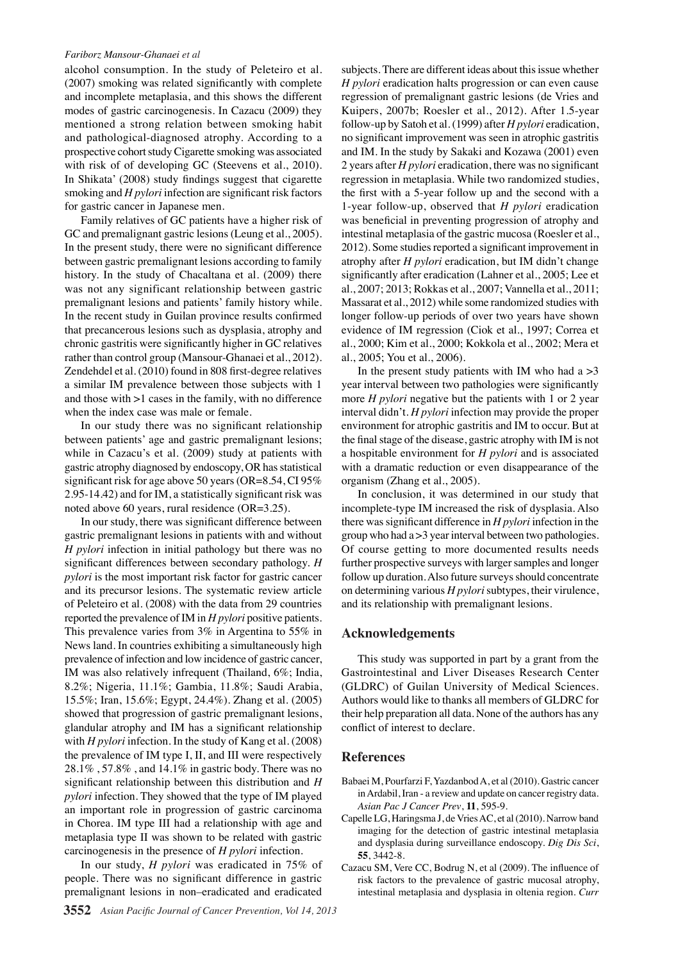#### *Fariborz Mansour-Ghanaei et al*

alcohol consumption. In the study of Peleteiro et al. (2007) smoking was related significantly with complete and incomplete metaplasia, and this shows the different modes of gastric carcinogenesis. In Cazacu (2009) they mentioned a strong relation between smoking habit and pathological-diagnosed atrophy. According to a prospective cohort study Cigarette smoking was associated with risk of of developing GC (Steevens et al., 2010). In Shikata' (2008) study findings suggest that cigarette smoking and *H pylori* infection are significant risk factors for gastric cancer in Japanese men.

Family relatives of GC patients have a higher risk of GC and premalignant gastric lesions (Leung et al., 2005). In the present study, there were no significant difference between gastric premalignant lesions according to family history. In the study of Chacaltana et al. (2009) there was not any significant relationship between gastric premalignant lesions and patients' family history while. In the recent study in Guilan province results confirmed that precancerous lesions such as dysplasia, atrophy and chronic gastritis were significantly higher in GC relatives rather than control group (Mansour-Ghanaei et al., 2012). Zendehdel et al. (2010) found in 808 first-degree relatives a similar IM prevalence between those subjects with 1 and those with >1 cases in the family, with no difference when the index case was male or female.

In our study there was no significant relationship between patients' age and gastric premalignant lesions; while in Cazacu's et al. (2009) study at patients with gastric atrophy diagnosed by endoscopy, OR has statistical significant risk for age above 50 years (OR=8.54, CI 95% 2.95-14.42) and for IM, a statistically significant risk was noted above 60 years, rural residence (OR=3.25).

In our study, there was significant difference between gastric premalignant lesions in patients with and without *H pylori* infection in initial pathology but there was no significant differences between secondary pathology. *H pylori* is the most important risk factor for gastric cancer and its precursor lesions. The systematic review article of Peleteiro et al. (2008) with the data from 29 countries reported the prevalence of IM in *H pylori* positive patients. This prevalence varies from 3% in Argentina to 55% in News land. In countries exhibiting a simultaneously high prevalence of infection and low incidence of gastric cancer, IM was also relatively infrequent (Thailand, 6%; India, 8.2%; Nigeria, 11.1%; Gambia, 11.8%; Saudi Arabia, 15.5%; Iran, 15.6%; Egypt, 24.4%). Zhang et al. (2005) showed that progression of gastric premalignant lesions, glandular atrophy and IM has a significant relationship with *H pylori* infection. In the study of Kang et al. (2008) the prevalence of IM type I, II, and III were respectively 28.1% , 57.8% , and 14.1% in gastric body. There was no significant relationship between this distribution and *H pylori* infection. They showed that the type of IM played an important role in progression of gastric carcinoma in Chorea. IM type III had a relationship with age and metaplasia type II was shown to be related with gastric carcinogenesis in the presence of *H pylori* infection.

In our study, *H pylori* was eradicated in 75% of people. There was no significant difference in gastric premalignant lesions in non–eradicated and eradicated

subjects. There are different ideas about this issue whether *H pylori* eradication halts progression or can even cause regression of premalignant gastric lesions (de Vries and Kuipers, 2007b; Roesler et al., 2012). After 1.5-year follow-up by Satoh et al. (1999) after *H pylori* eradication, no significant improvement was seen in atrophic gastritis and IM. In the study by Sakaki and Kozawa (2001) even 2 years after *H pylori* eradication, there was no significant regression in metaplasia. While two randomized studies, the first with a 5-year follow up and the second with a 1-year follow-up, observed that *H pylori* eradication was beneficial in preventing progression of atrophy and intestinal metaplasia of the gastric mucosa (Roesler et al., 2012). Some studies reported a significant improvement in atrophy after *H pylori* eradication, but IM didn't change significantly after eradication (Lahner et al., 2005; Lee et al., 2007; 2013; Rokkas et al., 2007; Vannella et al., 2011; Massarat et al., 2012) while some randomized studies with longer follow-up periods of over two years have shown evidence of IM regression (Ciok et al., 1997; Correa et al., 2000; Kim et al., 2000; Kokkola et al., 2002; Mera et al., 2005; You et al., 2006).

In the present study patients with IM who had a  $>3$ year interval between two pathologies were significantly more *H pylori* negative but the patients with 1 or 2 year interval didn't. *H pylori* infection may provide the proper environment for atrophic gastritis and IM to occur. But at the final stage of the disease, gastric atrophy with IM is not a hospitable environment for *H pylori* and is associated with a dramatic reduction or even disappearance of the organism (Zhang et al., 2005).

In conclusion, it was determined in our study that incomplete-type IM increased the risk of dysplasia. Also there was significant difference in *H pylori* infection in the group who had a >3 year interval between two pathologies. Of course getting to more documented results needs further prospective surveys with larger samples and longer follow up duration. Also future surveys should concentrate on determining various *H pylori* subtypes, their virulence, and its relationship with premalignant lesions.

#### **Acknowledgements**

This study was supported in part by a grant from the Gastrointestinal and Liver Diseases Research Center (GLDRC) of Guilan University of Medical Sciences. Authors would like to thanks all members of GLDRC for their help preparation all data. None of the authors has any conflict of interest to declare.

## **References**

- Babaei M, Pourfarzi F, Yazdanbod A, et al (2010). Gastric cancer in Ardabil, Iran - a review and update on cancer registry data. *Asian Pac J Cancer Prev*, **11**, 595-9.
- Capelle LG, Haringsma J, de Vries AC, et al (2010). Narrow band imaging for the detection of gastric intestinal metaplasia and dysplasia during surveillance endoscopy. *Dig Dis Sci*, **55**, 3442-8.
- Cazacu SM, Vere CC, Bodrug N, et al (2009). The influence of risk factors to the prevalence of gastric mucosal atrophy, intestinal metaplasia and dysplasia in oltenia region. *Curr*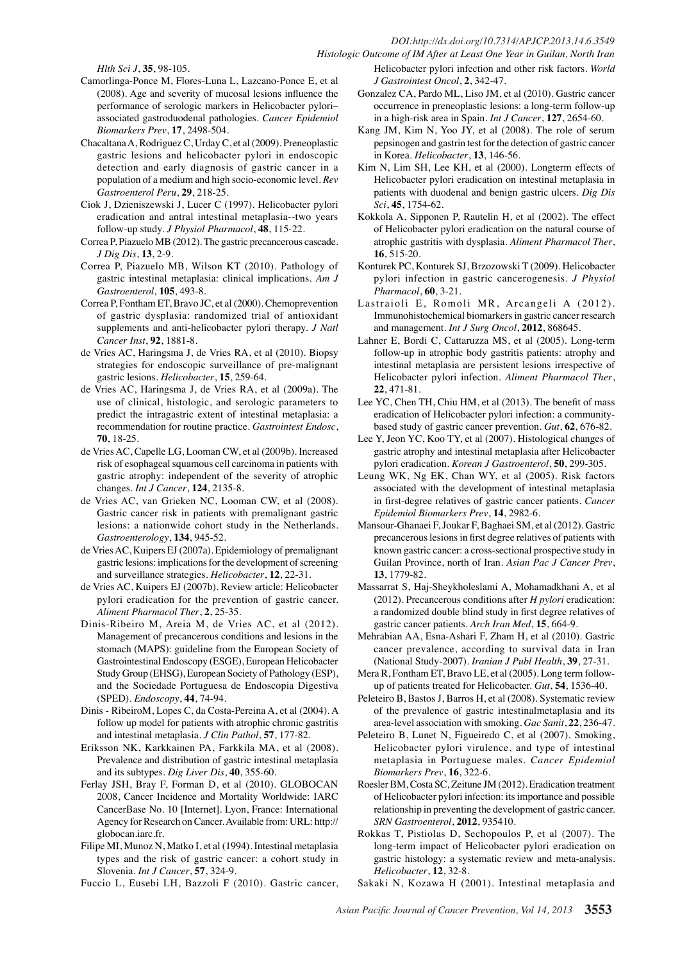#### *DOI:http://dx.doi.org/10.7314/APJCP.2013.14.6.3549*

*Histologic Outcome of IM After at Least One Year in Guilan, North Iran*

*Hlth Sci J*, **35**, 98-105.

- Camorlinga-Ponce M, Flores-Luna L, Lazcano-Ponce E, et al (2008). Age and severity of mucosal lesions influence the performance of serologic markers in Helicobacter pylori– associated gastroduodenal pathologies. *Cancer Epidemiol Biomarkers Prev*, **17**, 2498-504.
- Chacaltana A, Rodriguez C, Urday C, et al (2009). Preneoplastic gastric lesions and helicobacter pylori in endoscopic detection and early diagnosis of gastric cancer in a population of a medium and high socio-economic level. *Rev Gastroenterol Peru*, **29**, 218-25.
- Ciok J, Dzieniszewski J, Lucer C (1997). Helicobacter pylori eradication and antral intestinal metaplasia--two years follow-up study. *J Physiol Pharmacol*, **48**, 115-22.
- Correa P, Piazuelo MB (2012). The gastric precancerous cascade. *J Dig Dis*, **13**, 2-9.
- Correa P, Piazuelo MB, Wilson KT (2010). Pathology of gastric intestinal metaplasia: clinical implications. *Am J Gastroenterol*, **105**, 493-8.
- Correa P, Fontham ET, Bravo JC, et al (2000). Chemoprevention of gastric dysplasia: randomized trial of antioxidant supplements and anti-helicobacter pylori therapy. *J Natl Cancer Inst*, **92**, 1881-8.
- de Vries AC, Haringsma J, de Vries RA, et al (2010). Biopsy strategies for endoscopic surveillance of pre-malignant gastric lesions. *Helicobacter*, **15**, 259-64.
- de Vries AC, Haringsma J, de Vries RA, et al (2009a). The use of clinical, histologic, and serologic parameters to predict the intragastric extent of intestinal metaplasia: a recommendation for routine practice. *Gastrointest Endosc*, **70**, 18-25.
- de Vries AC, Capelle LG, Looman CW, et al (2009b). Increased risk of esophageal squamous cell carcinoma in patients with gastric atrophy: independent of the severity of atrophic changes. *Int J Cancer*, **124**, 2135-8.
- de Vries AC, van Grieken NC, Looman CW, et al (2008). Gastric cancer risk in patients with premalignant gastric lesions: a nationwide cohort study in the Netherlands. *Gastroenterology*, **134**, 945-52.
- de Vries AC, Kuipers EJ (2007a). Epidemiology of premalignant gastric lesions: implications for the development of screening and surveillance strategies. *Helicobacter*, **12**, 22-31.
- de Vries AC, Kuipers EJ (2007b). Review article: Helicobacter pylori eradication for the prevention of gastric cancer. *Aliment Pharmacol Ther*, **2**, 25-35.
- Dinis-Ribeiro M, Areia M, de Vries AC, et al (2012). Management of precancerous conditions and lesions in the stomach (MAPS): guideline from the European Society of Gastrointestinal Endoscopy (ESGE), European Helicobacter Study Group (EHSG), European Society of Pathology (ESP), and the Sociedade Portuguesa de Endoscopia Digestiva (SPED). *Endoscopy*, **44**, 74-94.
- Dinis RibeiroM, Lopes C, da Costa-Pereina A, et al (2004). A follow up model for patients with atrophic chronic gastritis and intestinal metaplasia. *J Clin Pathol*, **57**, 177-82.
- Eriksson NK, Karkkainen PA, Farkkila MA, et al (2008). Prevalence and distribution of gastric intestinal metaplasia and its subtypes. *Dig Liver Dis*, **40**, 355-60.
- Ferlay JSH, Bray F, Forman D, et al (2010). GLOBOCAN 2008, Cancer Incidence and Mortality Worldwide: IARC CancerBase No. 10 [Internet]. Lyon, France: International Agency for Research on Cancer. Available from: URL: http:// globocan.iarc.fr.
- Filipe MI, Munoz N, Matko I, et al (1994). Intestinal metaplasia types and the risk of gastric cancer: a cohort study in Slovenia. *Int J Cancer*, **57**, 324-9.
- Fuccio L, Eusebi LH, Bazzoli F (2010). Gastric cancer,

*J Gastrointest Oncol*, **2**, 342-47. Gonzalez CA, Pardo ML, Liso JM, et al (2010). Gastric cancer occurrence in preneoplastic lesions: a long-term follow-up in a high-risk area in Spain. *Int J Cancer*, **127**, 2654-60.

Helicobacter pylori infection and other risk factors. *World* 

- Kang JM, Kim N, Yoo JY, et al (2008). The role of serum pepsinogen and gastrin test for the detection of gastric cancer in Korea. *Helicobacter*, **13**, 146-56.
- 100.0 Kim N, Lim SH, Lee KH, et al (2000). Longterm effects of Helicobacter pylori eradication on intestinal metaplasia in patients with duodenal and benign gastric ulcers. *Dig Dis Sci*, **45**, 1754-62.
- 75.0 Kokkola A, Sipponen P, Rautelin H, et al (2002). The effect of Helicobacter pylori eradication on the natural course of atrophic gastritis with dysplasia. *Aliment Pharmacol Ther*, **16**, 515-20.
- Konturek PC, Konturek SJ, Brzozowski T (2009). Helicobacter pylori infection in gastric cancerogenesis. *J Physiol Pharmacol*, **60**, 3-21.
- Lastraioli E, Romoli MR, Arcangeli A (2012).50.0 Immunohistochemical biomarkers in gastric cancer research and management. *Int J Surg Oncol*, **2012**, 868645.
- 0 follow-up in atrophic body gastritis patients: atrophy and  $25.0$ Lahner E, Bordi C, Cattaruzza MS, et al (2005). Long-term intestinal metaplasia are persistent lesions irrespective of Helicobacter pylori infection. *Aliment Pharmacol Ther*, **22**, 471-81.
- Lee YC, Chen TH, Chiu HM, et al (2013). The benefit of mass eradication of Helicobacter pylori infection: a communitybased study of gastric cancer prevention. *Gut*, **62**, 676-82.
- Lee Y, Jeon YC, Koo TY, et al (2007). Histological changes of gastric atrophy and intestinal metaplasia after Helicobacter pylori eradication. *Korean J Gastroenterol*, **50**, 299-305.
- Leung WK, Ng EK, Chan WY, et al (2005). Risk factors associated with the development of intestinal metaplasia in first-degree relatives of gastric cancer patients. *Cancer Epidemiol Biomarkers Prev*, **14**, 2982-6.
- Mansour-Ghanaei F, Joukar F, Baghaei SM, et al (2012). Gastric precancerous lesions in first degree relatives of patients with known gastric cancer: a cross-sectional prospective study in Guilan Province, north of Iran. *Asian Pac J Cancer Prev*, **13**, 1779-82.
- Massarrat S, Haj-Sheykholeslami A, Mohamadkhani A, et al (2012). Precancerous conditions after *H pylori* eradication: a randomized double blind study in first degree relatives of gastric cancer patients. *Arch Iran Med*, **15**, 664-9.
- Mehrabian AA, Esna-Ashari F, Zham H, et al (2010). Gastric cancer prevalence, according to survival data in Iran (National Study-2007). *Iranian J Publ Health*, **39**, 27-31.
- Mera R, Fontham ET, Bravo LE, et al (2005). Long term followup of patients treated for Helicobacter. *Gut*, **54**, 1536-40.
- Peleteiro B, Bastos J, Barros H, et al (2008). Systematic review of the prevalence of gastric intestinalmetaplasia and its area-level association with smoking. *Gac Sanit*, **22**, 236-47.
- Peleteiro B, Lunet N, Figueiredo C, et al (2007). Smoking, Helicobacter pylori virulence, and type of intestinal metaplasia in Portuguese males. *Cancer Epidemiol Biomarkers Prev*, **16**, 322-6.
- Roesler BM, Costa SC, Zeitune JM (2012). Eradication treatment of Helicobacter pylori infection: its importance and possible relationship in preventing the development of gastric cancer. *SRN Gastroenterol*, **2012**, 935410.
- Rokkas T, Pistiolas D, Sechopoulos P, et al (2007). The long-term impact of Helicobacter pylori eradication on gastric histology: a systematic review and meta-analysis. *Helicobacter*, **12**, 32-8.
- Sakaki N, Kozawa H (2001). Intestinal metaplasia and

**20.3 6.3 10.1**

Newly diagnosed without treatment

**38.0 31.3**